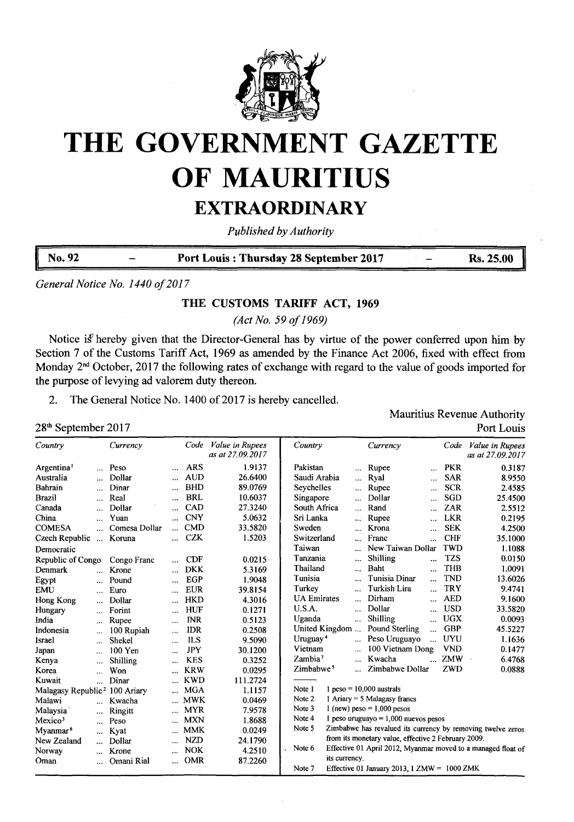

# **THE GOVERNMENT GAZETTE OF MAURITIUS EXTRAORDINARY**

*Published byAuthority*

**No. <sup>92</sup> - Port Louis : Thursday <sup>28</sup> September <sup>2017</sup> - Rs. 25.00**

*General Notice No. 1440 of201*<sup>7</sup>

### **THE CUSTOMS TARIFF ACT, 1969**

*(Act No. 59 of1969)*

Notice is hereby given that the Director-General has by virtue of the power conferred upon him by Section 7 of the Customs Tariff Act, 1969 as amended by the Finance Act 2006, fixed with effect from Monday 2<sup>nd</sup> October, 2017 the following rates of exchange with regard to the value of goods imported for the purpose of levying ad valorem duty thereon.

2. The General Notice No. 1400 of 2017 is hereby cancelled.

Mauritius Revenue Authority 28<sup>th</sup> September 2017 Port Louis

| Country                        |                      | Currency      |           | Code       | Value in Rupees<br>as at 27.09.2017 | Country<br>Currency<br>Code<br><i>Value in Rupees</i><br>as at 27.09.2017      |
|--------------------------------|----------------------|---------------|-----------|------------|-------------------------------------|--------------------------------------------------------------------------------|
| Argentina <sup>1</sup>         |                      | Peso          | $\ddotsc$ | <b>ARS</b> | 1.9137                              | Pakistan<br><b>PKR</b><br>0.3187<br>Rupee<br>$\ddotsc$<br>$\ddotsc$            |
| Australia                      | $\ddotsc$            | Dollar        | $\cdots$  | <b>AUD</b> | 26.6400                             | Saudi Arabia<br><b>SAR</b><br>8.9550<br>Ryal<br>u.<br>$\cdots$                 |
| Bahrain                        | $\ddotsc$            | Dinar         |           | <b>BHD</b> | 89.0769                             | <b>SCR</b><br>Seychelles<br>Rupee<br>2.4585<br>$\cdots$<br>$\cdots$            |
| <b>Brazil</b>                  | $\cdots$             | Real          | $\ddotsc$ | <b>BRL</b> | 10.6037                             | <b>SGD</b><br>Singapore<br>Dollar<br>25.4500<br>$\ddotsc$<br>$\ddotsc$         |
| Canada                         | $\ddotsc$            | Dollar        | $\ddotsc$ | CAD        | 27.3240                             | ZAR<br>South Africa<br>Rand<br>2.5512<br>$\ddotsc$<br>$\cdots$                 |
| China                          | $\ddotsc$            | Yuan          |           | <b>CNY</b> | 5.0632                              | Sri Lanka<br><b>LKR</b><br>Rupee<br>0.2195<br>$\ddotsc$<br>                    |
| <b>COMESA</b>                  |                      | Comesa Dollar |           | <b>CMD</b> | 33.5820                             | <b>SEK</b><br>Sweden<br>4.2500<br>Krona<br>$\ddotsc$                           |
| Czech Republic                 | $\cdots$             | Koruna        | $\cdots$  | <b>CZK</b> | 1.5203                              | <b>CHF</b><br>Switzerland<br>Franc<br>35.1000<br>                              |
| Democratic                     |                      |               |           |            |                                     | <b>TWD</b><br>Taiwan<br>New Taiwan Dollar<br>1.1088<br>                        |
| Republic of Congo              |                      | Congo Franc   | $\ddotsc$ | <b>CDF</b> | 0.0215                              | <b>TZS</b><br><b>Shilling</b><br>Tanzania<br>0.0150<br><br>$\ddotsc$           |
| Denmark                        | $\ddot{\phantom{a}}$ | Krone         |           | <b>DKK</b> | 5.3169                              | Thailand<br>Baht<br><b>THB</b><br>1.0091<br>$\ddotsc$                          |
| Egypt                          | $\cdots$             | Pound         | $\ddotsc$ | EGP        | 1.9048                              | <b>TND</b><br>Tunisia<br>Tunisia Dinar<br>13.6026<br>$\ddotsc$<br>$\ddotsc$    |
| <b>EMU</b>                     | $\cdots$             | Euro          |           | <b>EUR</b> | 39.8154                             | Turkish Lira<br><b>TRY</b><br>Turkey<br>9.4741<br>$\ddotsc$<br>$\ddotsc$       |
| Hong Kong                      | $\ddotsc$            | Dollar        | $\cdots$  | <b>HKD</b> | 4.3016                              | <b>AED</b><br><b>UA</b> Emirates<br>Dirham<br>9.1600<br>$\ddotsc$<br>          |
| Hungary                        | $\ddotsc$            | Forint        | $\ddotsc$ | <b>HUF</b> | 0.1271                              | U.S.A.<br><b>USD</b><br>Dollar<br>33.5820<br>$\ddotsc$<br>                     |
| India                          | $\cdots$             | Rupee         | $\cdots$  | <b>INR</b> | 0.5123                              | <b>UGX</b><br><b>Shilling</b><br>Uganda<br>0.0093<br>ia.<br>                   |
| Indonesia                      | $\cdots$             | 100 Rupiah    |           | <b>IDR</b> | 0.2508                              | <b>GBP</b><br>United Kingdom<br>Pound Sterling<br>45.5227<br>                  |
| Israel                         | $\ddotsc$            | Shekel        | $\cdots$  | ILS        | 9.5090                              | <b>UYU</b><br>Uruguay <sup>4</sup><br>Peso Uruguayo<br>1.1636<br><br>$\ddotsc$ |
| Japan                          |                      | 100 Yen       |           | <b>JPY</b> | 30.1200                             | <b>VND</b><br>Vietnam<br>100 Vietnam Dong<br>0.1477<br>$\sim$                  |
| Kenya                          | $\cdots$             | Shilling      | $\ddotsc$ | <b>KES</b> | 0.3252                              | ZMW<br>Zambia <sup>7</sup><br>Kwacha<br>6.4768<br>$\ddotsc$                    |
| Korea                          | $\cdots$             | Won           |           | <b>KRW</b> | 0.0295                              | Zimbabwe Dollar<br>Zimbabwe <sup>5</sup><br>ZWD<br>0.0888<br>$\ddotsc$         |
| Kuwait                         |                      | Dinar         | $\ddotsc$ | <b>KWD</b> | 111.2724                            |                                                                                |
| Malagasy Republic <sup>2</sup> |                      | 100 Ariary    |           | <b>MGA</b> | 1.1157                              | $1$ peso = 10,000 australs<br>Note 1                                           |
| Malawi                         |                      | Kwacha        | $\cdots$  | <b>MWK</b> | 0.0469                              | 1 Ariary = $5$ Malagasy francs<br>Note 2                                       |
| Malaysia                       |                      | Ringitt       | $\ddotsc$ | <b>MYR</b> | 7.9578                              | Note 3<br>$1$ (new) peso = 1,000 pesos                                         |
| Mexico <sup>3</sup>            | $\cdots$             | Peso          | $\ddotsc$ | <b>MXN</b> | 1.8688                              | Note 4<br>1 peso uruguayo = $1,000$ nuevos pesos                               |
| Myanmar <sup>6</sup>           | $\cdots$             | Kyat          | $\cdots$  | <b>MMK</b> | 0.0249                              | Note 5<br>Zimbabwe has revalued its currency by removing twelve zeros          |
| New Zealand                    |                      | Dollar        | $\cdots$  | <b>NZD</b> | 24.1790                             | from its monetary value, effective 2 February 2009.                            |
| Norway                         |                      | Krone         |           | <b>NOK</b> | 4.2510                              | Effective 01 April 2012, Myanmar moved to a managed float of<br>Note 6         |
| Oman                           | $\cdots$             | Omani Rial    | $\cdots$  | <b>OMR</b> | 87.2260                             | its currency.                                                                  |
|                                |                      |               |           |            |                                     | Note 7<br>Effective 01 January 2013, $1 ZMW = 1000 ZMK$                        |